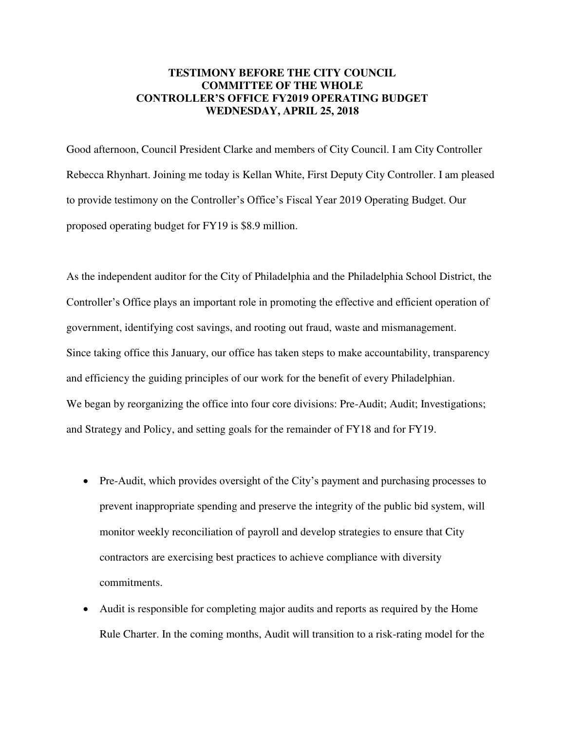## **TESTIMONY BEFORE THE CITY COUNCIL COMMITTEE OF THE WHOLE CONTROLLER'S OFFICE FY2019 OPERATING BUDGET WEDNESDAY, APRIL 25, 2018**

Good afternoon, Council President Clarke and members of City Council. I am City Controller Rebecca Rhynhart. Joining me today is Kellan White, First Deputy City Controller. I am pleased to provide testimony on the Controller's Office's Fiscal Year 2019 Operating Budget. Our proposed operating budget for FY19 is \$8.9 million.

As the independent auditor for the City of Philadelphia and the Philadelphia School District, the Controller's Office plays an important role in promoting the effective and efficient operation of government, identifying cost savings, and rooting out fraud, waste and mismanagement. Since taking office this January, our office has taken steps to make accountability, transparency and efficiency the guiding principles of our work for the benefit of every Philadelphian. We began by reorganizing the office into four core divisions: Pre-Audit; Audit; Investigations; and Strategy and Policy, and setting goals for the remainder of FY18 and for FY19.

- Pre-Audit, which provides oversight of the City's payment and purchasing processes to prevent inappropriate spending and preserve the integrity of the public bid system, will monitor weekly reconciliation of payroll and develop strategies to ensure that City contractors are exercising best practices to achieve compliance with diversity commitments.
- Audit is responsible for completing major audits and reports as required by the Home Rule Charter. In the coming months, Audit will transition to a risk-rating model for the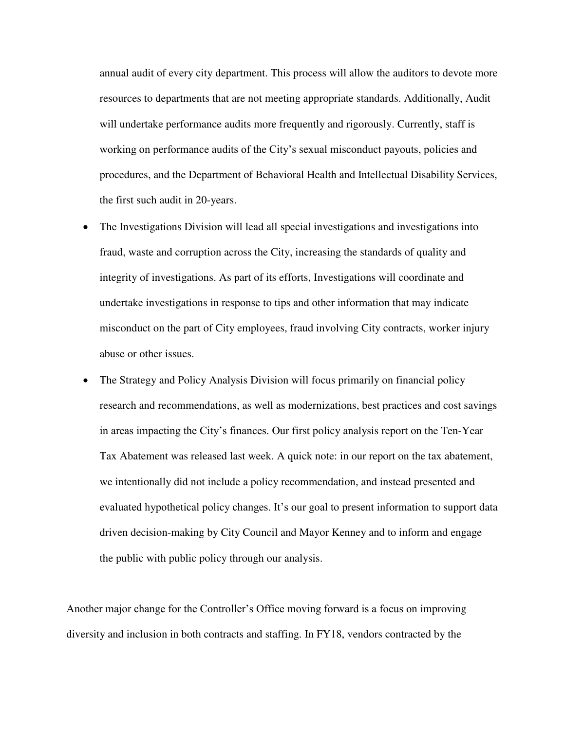annual audit of every city department. This process will allow the auditors to devote more resources to departments that are not meeting appropriate standards. Additionally, Audit will undertake performance audits more frequently and rigorously. Currently, staff is working on performance audits of the City's sexual misconduct payouts, policies and procedures, and the Department of Behavioral Health and Intellectual Disability Services, the first such audit in 20-years.

- The Investigations Division will lead all special investigations and investigations into fraud, waste and corruption across the City, increasing the standards of quality and integrity of investigations. As part of its efforts, Investigations will coordinate and undertake investigations in response to tips and other information that may indicate misconduct on the part of City employees, fraud involving City contracts, worker injury abuse or other issues.
- The Strategy and Policy Analysis Division will focus primarily on financial policy research and recommendations, as well as modernizations, best practices and cost savings in areas impacting the City's finances. Our first policy analysis report on the Ten-Year Tax Abatement was released last week. A quick note: in our report on the tax abatement, we intentionally did not include a policy recommendation, and instead presented and evaluated hypothetical policy changes. It's our goal to present information to support data driven decision-making by City Council and Mayor Kenney and to inform and engage the public with public policy through our analysis.

Another major change for the Controller's Office moving forward is a focus on improving diversity and inclusion in both contracts and staffing. In FY18, vendors contracted by the